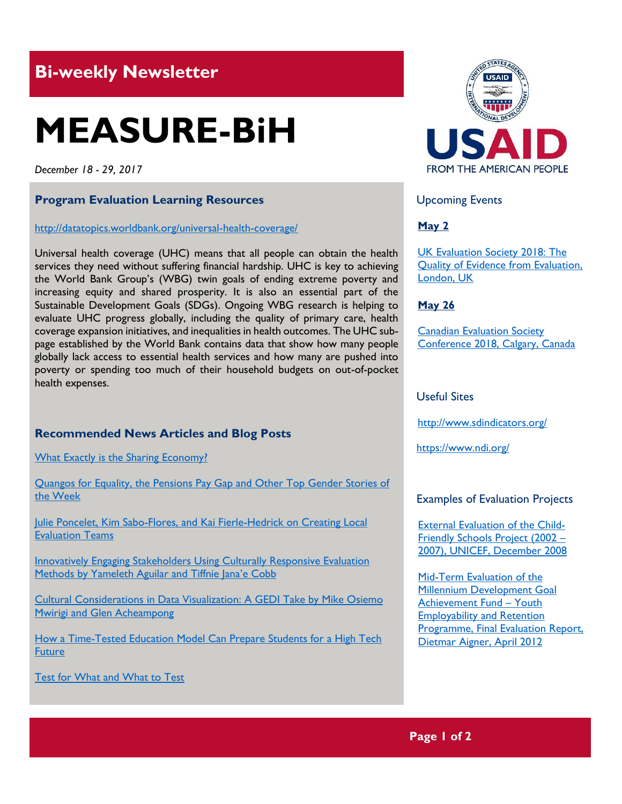# **Bi-weekly Newsletter**

# **MEASURE-BiH**

*December 18 - 29, 2017*

### **Program Evaluation Learning Resources**

<http://datatopics.worldbank.org/universal-health-coverage/>

Universal health coverage (UHC) means that all people can obtain the health services they need without suffering financial hardship. UHC is key to achieving the World Bank Group's (WBG) twin goals of ending extreme poverty and increasing equity and shared prosperity. It is also an essential part of the Sustainable Development Goals (SDGs). Ongoing WBG research is helping to evaluate UHC progress globally, including the quality of primary care, health coverage expansion initiatives, and inequalities in health outcomes. The UHC subpage established by the World Bank contains data that show how many people globally lack access to essential health services and how many are pushed into poverty or spending too much of their household budgets on out-of-pocket health expenses.

# **Recommended News Articles and Blog Posts**

[What Exactly is the Sharing Economy?](https://www.weforum.org/agenda/2017/12/when-is-sharing-not-really-sharing)

[Quangos for Equality, the Pensions Pay Gap and Other Top Gender Stories of](https://www.weforum.org/agenda/2017/12/quangos-for-equality-the-pensions-pay-gap-and-other-top-gender-stories-of-the-week)  [the Week](https://www.weforum.org/agenda/2017/12/quangos-for-equality-the-pensions-pay-gap-and-other-top-gender-stories-of-the-week)

Julie Poncelet, Kim Sabo-Flores, and Kai Fierle-Hedrick on Creating Local [Evaluation Teams](http://aea365.org/blog/yfe-tig-week-julie-poncelet-kim-sabo-flores-and-kai-fierle-hedrick-on-creating-local-evaluation-teams/?utm_source=feedburner&utm_medium=feed&utm_campaign=Feed%3A+aea365+%28AEA365%29)

[Innovatively Engaging Stakeholders Using Culturally Responsive Evaluation](http://aea365.org/blog/gedi-week-innovatively-engaging-stakeholders-using-culturally-responsive-evaluation-methods-by-yamileth-aguilar-and-tiffinie-janae-cobb/?utm_source=feedburner&utm_medium=feed&utm_campaign=Feed%3A+aea365+%28AEA365%29)  [Methods by Yameleth Aguilar and Tiffnie Jana](http://aea365.org/blog/gedi-week-innovatively-engaging-stakeholders-using-culturally-responsive-evaluation-methods-by-yamileth-aguilar-and-tiffinie-janae-cobb/?utm_source=feedburner&utm_medium=feed&utm_campaign=Feed%3A+aea365+%28AEA365%29)'e Cobb

[Cultural Considerations in Data Visualization: A GEDI Take by Mike Osiemo](http://aea365.org/blog/gedi-week-cultural-considerations-in-data-visualization-a-gedi-take-by-mike-osiemo-mwirigi-and-glen-acheampong/?utm_source=feedburner&utm_medium=feed&utm_campaign=Feed%3A+aea365+%28AEA365%29)  [Mwirigi and Glen Acheampong](http://aea365.org/blog/gedi-week-cultural-considerations-in-data-visualization-a-gedi-take-by-mike-osiemo-mwirigi-and-glen-acheampong/?utm_source=feedburner&utm_medium=feed&utm_campaign=Feed%3A+aea365+%28AEA365%29)

How a Time-Tested Education Model Can Prepare Students for a High Tech **[Future](https://blogs.worldbank.org/education/how-time-tested-education-model-can-prepare-students-high-tech-future)** 

[Test for What and What to Test](https://blogs.worldbank.org/developmenttalk/test-what-and-what-test)



Upcoming Events

#### **May 2**

[UK Evaluation Society 2018: The](http://mande.co.uk/conferences/?event_id1=40)  [Quality of Evidence from Evaluation,](http://mande.co.uk/conferences/?event_id1=40)  [London, UK](http://mande.co.uk/conferences/?event_id1=40)

#### **May 26**

[Canadian Evaluation Society](http://mande.co.uk/conferences/?event_id1=38)  [Conference 2018, Calgary, Canada](http://mande.co.uk/conferences/?event_id1=38)

#### Useful Sites

<http://www.sdindicators.org/>

<https://www.ndi.org/>

#### Examples of Evaluation Projects

[External Evaluation of the Child-](https://www.unicef.org/evaldatabase/files/Final_External_Eval_of_the_CfS_Project_2002-2007_Bosnia-Herzegovina.pdf)[Friendly Schools Project \(2002](https://www.unicef.org/evaldatabase/files/Final_External_Eval_of_the_CfS_Project_2002-2007_Bosnia-Herzegovina.pdf) – [2007\), UNICEF, December 2008](https://www.unicef.org/evaldatabase/files/Final_External_Eval_of_the_CfS_Project_2002-2007_Bosnia-Herzegovina.pdf)

[Mid-Term Evaluation of the](https://www.unicef.org/evaldatabase/files/YERP_Mid-Term_2012.pdf)  Millennium [Development Goal](https://www.unicef.org/evaldatabase/files/YERP_Mid-Term_2012.pdf)  [Achievement Fund](https://www.unicef.org/evaldatabase/files/YERP_Mid-Term_2012.pdf) – Youth [Employability and Retention](https://www.unicef.org/evaldatabase/files/YERP_Mid-Term_2012.pdf)  [Programme, Final Evaluation Report,](https://www.unicef.org/evaldatabase/files/YERP_Mid-Term_2012.pdf)  [Dietmar Aigner, April 2012](https://www.unicef.org/evaldatabase/files/YERP_Mid-Term_2012.pdf)